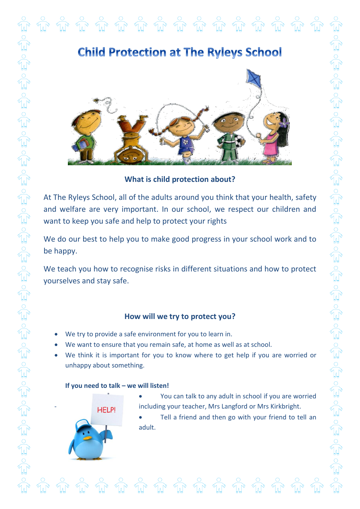



**What is child protection about?**

At The Ryleys School, all of the adults around you think that your health, safety and welfare are very important. In our school, we respect our children and want to keep you safe and help to protect your rights

We do our best to help you to make good progress in your school work and to be happy.

We teach you how to recognise risks in different situations and how to protect yourselves and stay safe.

## **How will we try to protect you?**

- We try to provide a safe environment for you to learn in.
- We want to ensure that you remain safe, at home as well as at school.
- We think it is important for you to know where to get help if you are worried or unhappy about something.

## **If you need to talk – we will listen!**



- You can talk to any adult in school if you are worried HELP! including your teacher, Mrs Langford or Mrs Kirkbright.
	- Tell a friend and then go with your friend to tell an adult.